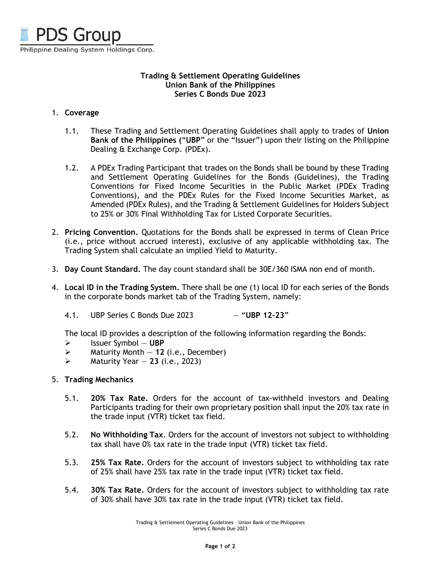

## **Trading & Settlement Operating Guidelines Union Bank of the Philippines Series C Bonds Due 2023**

## 1. **Coverage**

- 1.1. These Trading and Settlement Operating Guidelines shall apply to trades of **Union Bank of the Philippines (**"**UBP**" or the "Issuer") upon their listing on the Philippine Dealing & Exchange Corp. (PDEx).
- 1.2. A PDEx Trading Participant that trades on the Bonds shall be bound by these Trading and Settlement Operating Guidelines for the Bonds (Guidelines), the Trading Conventions for Fixed Income Securities in the Public Market (PDEx Trading Conventions), and the PDEx Rules for the Fixed Income Securities Market, as Amended (PDEx Rules), and the Trading & Settlement Guidelines for Holders Subject to 25% or 30% Final Withholding Tax for Listed Corporate Securities.
- 2. **Pricing Convention.** Quotations for the Bonds shall be expressed in terms of Clean Price (i.e., price without accrued interest), exclusive of any applicable withholding tax. The Trading System shall calculate an implied Yield to Maturity.
- 3. **Day Count Standard.** The day count standard shall be 30E/360 ISMA non end of month.
- 4. **Local ID in the Trading System.** There shall be one (1) local ID for each series of the Bonds in the corporate bonds market tab of the Trading System, namely:
	- 4.1. UBP Series C Bonds Due 2023 "**UBP 12-23**"

The local ID provides a description of the following information regarding the Bonds:

- Issuer Symbol **UBP**
- Maturity Month **12** (i.e., December)
- Maturity Year **23** (i.e., 2023)
- 5. **Trading Mechanics** 
	- 5.1. **20% Tax Rate.** Orders for the account of tax-withheld investors and Dealing Participants trading for their own proprietary position shall input the 20% tax rate in the trade input (VTR) ticket tax field.
	- 5.2. **No Withholding Tax**. Orders for the account of investors not subject to withholding tax shall have 0% tax rate in the trade input (VTR) ticket tax field.
	- 5.3. **25% Tax Rate.** Orders for the account of investors subject to withholding tax rate of 25% shall have 25% tax rate in the trade input (VTR) ticket tax field.
	- 5.4. **30% Tax Rate.** Orders for the account of investors subject to withholding tax rate of 30% shall have 30% tax rate in the trade input (VTR) ticket tax field.